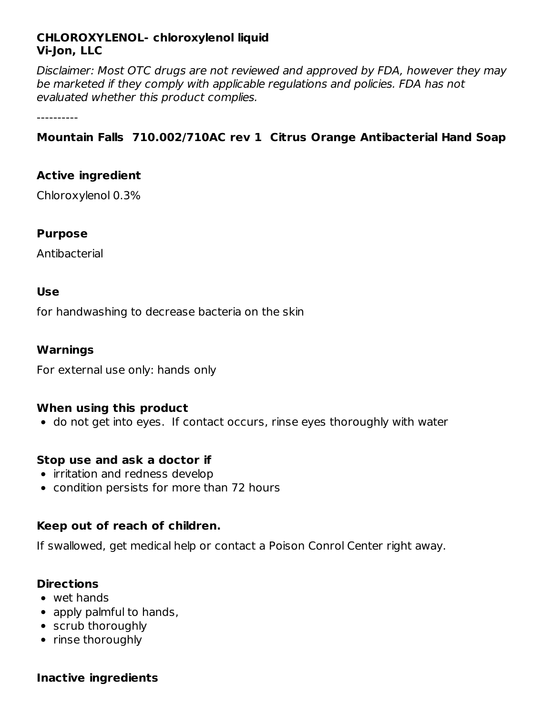## **CHLOROXYLENOL- chloroxylenol liquid Vi-Jon, LLC**

Disclaimer: Most OTC drugs are not reviewed and approved by FDA, however they may be marketed if they comply with applicable regulations and policies. FDA has not evaluated whether this product complies.

----------

# **Mountain Falls 710.002/710AC rev 1 Citrus Orange Antibacterial Hand Soap**

## **Active ingredient**

Chloroxylenol 0.3%

## **Purpose**

Antibacterial

## **Use**

for handwashing to decrease bacteria on the skin

## **Warnings**

For external use only: hands only

#### **When using this product**

• do not get into eyes. If contact occurs, rinse eyes thoroughly with water

#### **Stop use and ask a doctor if**

- irritation and redness develop
- condition persists for more than 72 hours

#### **Keep out of reach of children.**

If swallowed, get medical help or contact a Poison Conrol Center right away.

#### **Directions**

- wet hands
- apply palmful to hands,
- scrub thoroughly
- rinse thoroughly

#### **Inactive ingredients**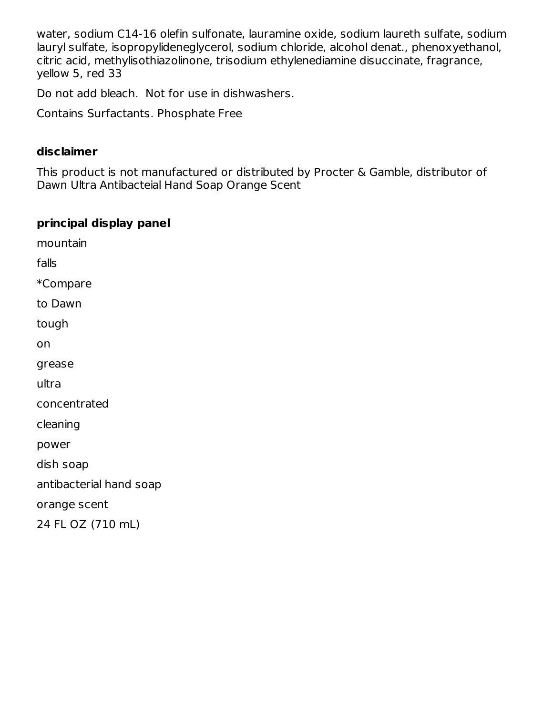water, sodium C14-16 olefin sulfonate, lauramine oxide, sodium laureth sulfate, sodium lauryl sulfate, isopropylideneglycerol, sodium chloride, alcohol denat., phenoxyethanol, citric acid, methylisothiazolinone, trisodium ethylenediamine disuccinate, fragrance, yellow 5, red 33

Do not add bleach. Not for use in dishwashers.

Contains Surfactants. Phosphate Free

#### **disclaimer**

This product is not manufactured or distributed by Procter & Gamble, distributor of Dawn Ultra Antibacteial Hand Soap Orange Scent

## **principal display panel**

mountain falls \*Compare to Dawn tough on grease ultra concentrated cleaning power dish soap antibacterial hand soap orange scent 24 FL OZ (710 mL)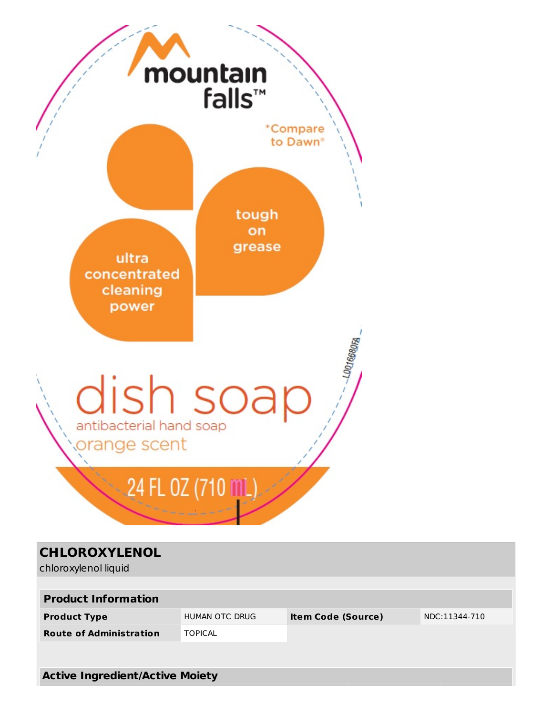

| <b>CHLOROXYLENOL</b><br>chloroxylenol liquid |                |                           |               |
|----------------------------------------------|----------------|---------------------------|---------------|
|                                              |                |                           |               |
| <b>Product Information</b>                   |                |                           |               |
| <b>Product Type</b>                          | HUMAN OTC DRUG | <b>Item Code (Source)</b> | NDC:11344-710 |
| <b>Route of Administration</b>               | <b>TOPICAL</b> |                           |               |
|                                              |                |                           |               |
| <b>Active Ingredient/Active Moiety</b>       |                |                           |               |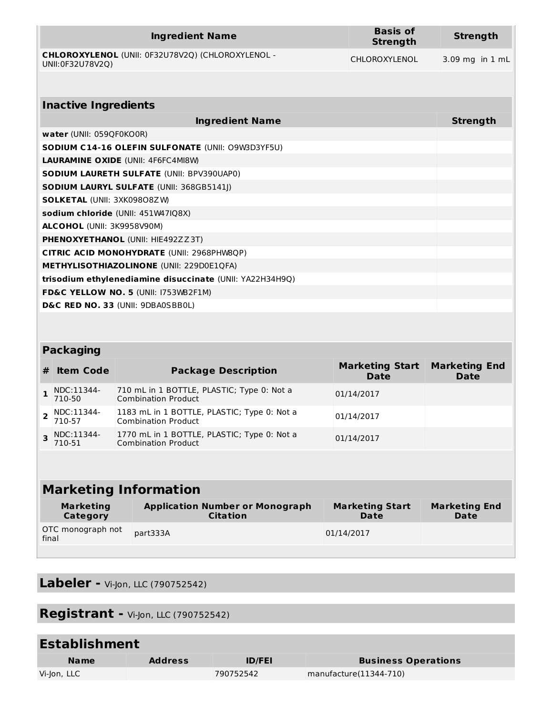| <b>Ingredient Name</b>                                                | <b>Basis of</b><br><b>Strength</b> | Strength          |
|-----------------------------------------------------------------------|------------------------------------|-------------------|
| CHLOROXYLENOL (UNII: 0F32U78V2Q) (CHLOROXYLENOL -<br>UNII:0F32U78V2O) | <b>CHLOROXYLENOL</b>               | $3.09$ mg in 1 mL |

| <b>Inactive Ingredients</b>                              |                 |  |  |
|----------------------------------------------------------|-----------------|--|--|
| <b>Ingredient Name</b>                                   | <b>Strength</b> |  |  |
| water (UNII: 059QF0KO0R)                                 |                 |  |  |
| <b>SODIUM C14-16 OLEFIN SULFONATE (UNII: O9W3D3YF5U)</b> |                 |  |  |
| <b>LAURAMINE OXIDE (UNII: 4F6FC4MI8W)</b>                |                 |  |  |
| <b>SODIUM LAURETH SULFATE (UNII: BPV390UAP0)</b>         |                 |  |  |
| <b>SODIUM LAURYL SULFATE (UNII: 368GB5141I)</b>          |                 |  |  |
| <b>SOLKETAL (UNII: 3XK09808ZW)</b>                       |                 |  |  |
| sodium chloride (UNII: 451W47IQ8X)                       |                 |  |  |
| <b>ALCOHOL</b> (UNII: 3K9958V90M)                        |                 |  |  |
| <b>PHENOXYETHANOL (UNII: HIE492ZZ3T)</b>                 |                 |  |  |
| CITRIC ACID MONOHYDRATE (UNII: 2968PHW8QP)               |                 |  |  |
| <b>METHYLISOTHIAZOLINONE (UNII: 229D0E1QFA)</b>          |                 |  |  |
| trisodium ethylenediamine disuccinate (UNII: YA22H34H9Q) |                 |  |  |
| <b>FD&amp;C YELLOW NO. 5 (UNII: I753WB2F1M)</b>          |                 |  |  |
| D&C RED NO. 33 (UNII: 9DBA0SBB0L)                        |                 |  |  |

# **Packaging**

| # | <b>Item Code</b>         | <b>Package Description</b>                                                | <b>Marketing Start</b><br><b>Date</b> | <b>Marketing End</b><br><b>Date</b> |
|---|--------------------------|---------------------------------------------------------------------------|---------------------------------------|-------------------------------------|
|   | NDC:11344-<br>710-50     | 710 mL in 1 BOTTLE, PLASTIC; Type 0: Not a<br><b>Combination Product</b>  | 01/14/2017                            |                                     |
|   | $2$ NDC:11344-<br>710-57 | 1183 mL in 1 BOTTLE, PLASTIC; Type 0: Not a<br><b>Combination Product</b> | 01/14/2017                            |                                     |
|   | 3 NDC:11344-<br>710-51   | 1770 mL in 1 BOTTLE, PLASTIC; Type 0: Not a<br><b>Combination Product</b> | 01/14/2017                            |                                     |

| <b>Marketing Information</b> |                                                           |                                       |                                     |
|------------------------------|-----------------------------------------------------------|---------------------------------------|-------------------------------------|
| <b>Marketing</b><br>Category | <b>Application Number or Monograph</b><br><b>Citation</b> | <b>Marketing Start</b><br><b>Date</b> | <b>Marketing End</b><br><b>Date</b> |
| OTC monograph not<br>final   | part333A                                                  | 01/14/2017                            |                                     |

**Labeler -** Vi-Jon, LLC (790752542)

**Registrant -** Vi-Jon, LLC (790752542)

| <b>Establishment</b> |                |               |                            |
|----------------------|----------------|---------------|----------------------------|
| <b>Name</b>          | <b>Address</b> | <b>ID/FEI</b> | <b>Business Operations</b> |
| Vi-Jon, LLC          |                | 790752542     | manufacture(11344-710)     |